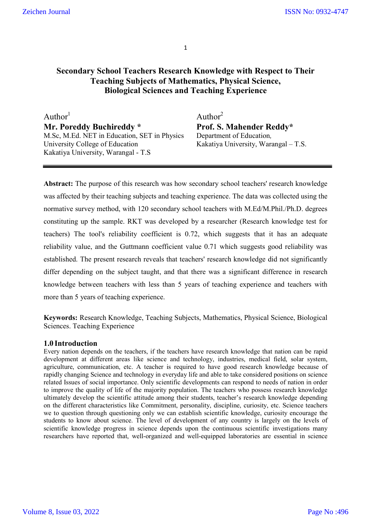# **Secondary School Teachers Research Knowledge with Respect to Their Teaching Subjects of Mathematics, Physical Science, Biological Sciences and Teaching Experience**

 $\text{Author}^1$  Author<sup>2</sup> **Mr. Poreddy Buchireddy \* Prof. S. Mahender Reddy\*** M.Sc, M.Ed. NET in Education, SET in Physics Department of Education, M.Sc, M.Ed. NET in Education, SET in Physics University College of Education Kakatiya University, Warangal – T.S. Kakatiya University, Warangal - T.S

**Abstract:** The purpose of this research was how secondary school teachers' research knowledge was affected by their teaching subjects and teaching experience. The data was collected using the normative survey method, with 120 secondary school teachers with M.Ed/M.Phil./Ph.D. degrees constituting up the sample. RKT was developed by a researcher (Research knowledge test for teachers) The tool's reliability coefficient is 0.72, which suggests that it has an adequate reliability value, and the Guttmann coefficient value 0.71 which suggests good reliability was established. The present research reveals that teachers' research knowledge did not significantly differ depending on the subject taught, and that there was a significant difference in research knowledge between teachers with less than 5 years of teaching experience and teachers with more than 5 years of teaching experience.

**Keywords:** Research Knowledge, Teaching Subjects, Mathematics, Physical Science, Biological Sciences. Teaching Experience

### **1.0 Introduction**

Every nation depends on the teachers, if the teachers have research knowledge that nation can be rapid development at different areas like science and technology, industries, medical field, solar system, agriculture, communication, etc. A teacher is required to have good research knowledge because of rapidly changing Science and technology in everyday life and able to take considered positions on science related Issues of social importance. Only scientific developments can respond to needs of nation in order to improve the quality of life of the majority population. The teachers who possess research knowledge ultimately develop the scientific attitude among their students, teacher's research knowledge depending on the different characteristics like Commitment, personality, discipline, curiosity, etc. Science teachers we to question through questioning only we can establish scientific knowledge, curiosity encourage the students to know about science. The level of development of any country is largely on the levels of scientific knowledge progress in science depends upon the continuous scientific investigations many researchers have reported that, well-organized and well-equipped laboratories are essential in science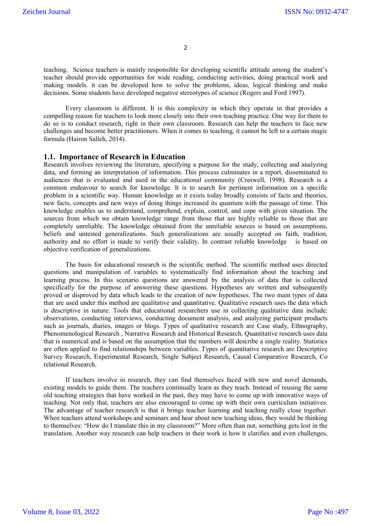teaching. Science teachers is mainly responsible for developing scientific attitude among the student's teacher should provide opportunities for wide reading, conducting activities, doing practical work and making models. it can be developed how to solve the problems, ideas, logical thinking and make decisions. Some students have developed negative stereotypes of science (Rogers and Ford 1997).

Every classroom is different. It is this complexity in which they operate in that provides a compelling reason for teachers to look more closely into their own teaching practice. One way for them to do so is to conduct research, right in their own classroom. Research can help the teachers to face new challenges and become better practitioners. When it comes to teaching, it cannot be left to a certain magic formula (Hairon Salleh, 2014).

#### **1.1. Importance of Research in Education**

Research involves reviewing the literature, specifying a purpose for the study, collecting and analyzing data, and forming an interpretation of information. This process culminates in a report, disseminated to audiences that is evaluated and used in the educational community (Creswell, 1998). Research is a common endeavour to search for knowledge. It is to search for pertinent information on a specific problem in a scientific way. Human knowledge as it exists today broadly consists of facts and theories, new facts, concepts and new ways of doing things increased its quantum with the passage of time. This knowledge enables us to understand, comprehend, explain, control, and cope with given situation. The sources from which we obtain knowledge range from those that are highly reliable to those that are completely unreliable. The knowledge obtained from the unreliable sources is based on assumptions, beliefs and untested generalizations. Such generalizations are usually accepted on faith, tradition, authority and no effort is made to verify their validity. In contrast reliable knowledge is based on objective verification of generalizations.

The basis for educational research is the scientific method. The scientific method uses directed questions and manipulation of variables to systematically find information about the teaching and learning process. In this scenario questions are answered by the analysis of data that is collected specifically for the purpose of answering these questions. Hypotheses are written and subsequently proved or disproved by data which leads to the creation of new hypotheses. The two main types of data that are used under this method are qualitative and quantitative. Qualitative research uses the data which is descriptive in nature. Tools that educational researchers use in collecting qualitative data include: observations, conducting interviews, conducting document analysis, and analyzing participant products such as journals, diaries, images or blogs. Types of qualitative research are Case study, Ethnography, Phenomenological Research , Narrative Research and Historical Research. Quantitative research uses data that is numerical and is based on the assumption that the numbers will describe a single reality. Statistics are often applied to find relationships between variables. Types of quantitative research are Descriptive Survey Research, Experimental Research, Single Subject Research, Causal Comparative Research, Co relational Research.

If teachers involve in research, they can find themselves faced with new and novel demands, existing models to guide them. The teachers continually learn as they teach. Instead of reusing the same old teaching strategies that have worked in the past, they may have to come up with innovative ways of teaching. Not only that, teachers are also encouraged to come up with their own curriculum initiatives. The advantage of teacher research is that it brings teacher learning and teaching really close together. When teachers attend workshops and seminars and hear about new teaching ideas, they would be thinking to themselves: "How do I translate this in my classroom?" More often than not, something gets lost in the translation. Another way research can help teachers in their work is how it clarifies and even challenges,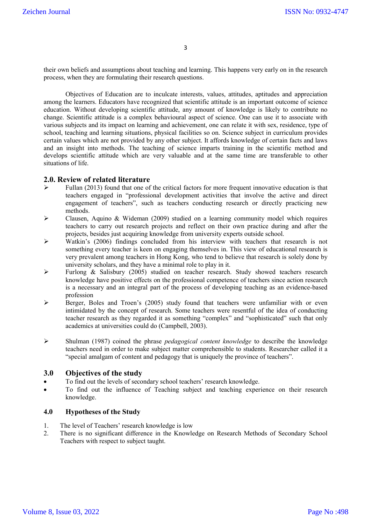their own beliefs and assumptions about teaching and learning. This happens very early on in the research process, when they are formulating their research questions.

Objectives of Education are to inculcate interests, values, attitudes, aptitudes and appreciation among the learners. Educators have recognized that scientific attitude is an important outcome of science education. Without developing scientific attitude, any amount of knowledge is likely to contribute no change. Scientific attitude is a complex behavioural aspect of science. One can use it to associate with various subjects and its impact on learning and achievement, one can relate it with sex, residence, type of school, teaching and learning situations, physical facilities so on. Science subject in curriculum provides certain values which are not provided by any other subject. It affords knowledge of certain facts and laws and an insight into methods. The teaching of science imparts training in the scientific method and develops scientific attitude which are very valuable and at the same time are transferable to other situations of life.

### **2.0. Review of related literature**

- Fullan (2013) found that one of the critical factors for more frequent innovative education is that teachers engaged in "professional development activities that involve the active and direct engagement of teachers", such as teachers conducting research or directly practicing new methods.
- $\triangleright$  Clausen, Aquino & Wideman (2009) studied on a learning community model which requires teachers to carry out research projects and reflect on their own practice during and after the projects, besides just acquiring knowledge from university experts outside school.
- $\triangleright$  Watkin's (2006) findings concluded from his interview with teachers that research is not something every teacher is keen on engaging themselves in. This view of educational research is very prevalent among teachers in Hong Kong, who tend to believe that research is solely done by university scholars, and they have a minimal role to play in it.
- Furlong & Salisbury (2005) studied on teacher research. Study showed teachers research knowledge have positive effects on the professional competence of teachers since action research is a necessary and an integral part of the process of developing teaching as an evidence-based profession
- $\triangleright$  Berger, Boles and Troen's (2005) study found that teachers were unfamiliar with or even intimidated by the concept of research. Some teachers were resentful of the idea of conducting teacher research as they regarded it as something "complex" and "sophisticated" such that only academics at universities could do (Campbell, 2003).
- Shulman (1987) coined the phrase *pedagogical content knowledge* to describe the knowledge teachers need in order to make subject matter comprehensible to students. Researcher called it a "special amalgam of content and pedagogy that is uniquely the province of teachers".

#### **3.0 Objectives of the study**

- To find out the levels of secondary school teachers' research knowledge.
- To find out the influence of Teaching subject and teaching experience on their research knowledge.

#### **4.0 Hypotheses of the Study**

- 1. The level of Teachers' research knowledge is low
- 2. There is no significant difference in the Knowledge on Research Methods of Secondary School Teachers with respect to subject taught.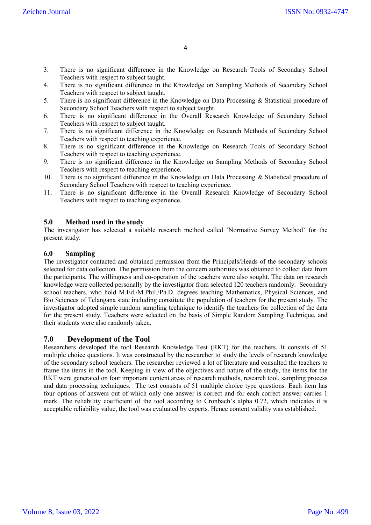- 3. There is no significant difference in the Knowledge on Research Tools of Secondary School Teachers with respect to subject taught.
- 4. There is no significant difference in the Knowledge on Sampling Methods of Secondary School Teachers with respect to subject taught.
- 5. There is no significant difference in the Knowledge on Data Processing & Statistical procedure of Secondary School Teachers with respect to subject taught.
- 6. There is no significant difference in the Overall Research Knowledge of Secondary School Teachers with respect to subject taught.
- 7. There is no significant difference in the Knowledge on Research Methods of Secondary School Teachers with respect to teaching experience.
- 8. There is no significant difference in the Knowledge on Research Tools of Secondary School Teachers with respect to teaching experience.
- 9. There is no significant difference in the Knowledge on Sampling Methods of Secondary School Teachers with respect to teaching experience.
- 10. There is no significant difference in the Knowledge on Data Processing & Statistical procedure of Secondary School Teachers with respect to teaching experience.
- 11. There is no significant difference in the Overall Research Knowledge of Secondary School Teachers with respect to teaching experience.

#### **5.0 Method used in the study**

The investigator has selected a suitable research method called 'Normative Survey Method' for the present study.

### **6.0 Sampling**

The investigator contacted and obtained permission from the Principals/Heads of the secondary schools selected for data collection. The permission from the concern authorities was obtained to collect data from the participants. The willingness and co-operation of the teachers were also sought. The data on research knowledge were collected personally by the investigator from selected 120 teachers randomly. Secondary school teachers, who hold M.Ed./M.Phil./Ph.D. degrees teaching Mathematics, Physical Sciences, and Bio Sciences of Telangana state including constitute the population of teachers for the present study. The investigator adopted simple random sampling technique to identify the teachers for collection of the data for the present study. Teachers were selected on the basis of Simple Random Sampling Technique, and their students were also randomly taken.

### **7.0 Development of the Tool**

Researchers developed the tool Research Knowledge Test (RKT) for the teachers. It consists of 51 multiple choice questions. It was constructed by the researcher to study the levels of research knowledge of the secondary school teachers. The researcher reviewed a lot of literature and consulted the teachers to frame the items in the tool. Keeping in view of the objectives and nature of the study, the items for the RKT were generated on four important content areas of research methods, research tool, sampling process and data processing techniques. The test consists of 51 multiple choice type questions. Each item has four options of answers out of which only one answer is correct and for each correct answer carries 1 mark. The reliability coefficient of the tool according to Cronbach's alpha 0.72, which indicates it is acceptable reliability value, the tool was evaluated by experts. Hence content validity was established.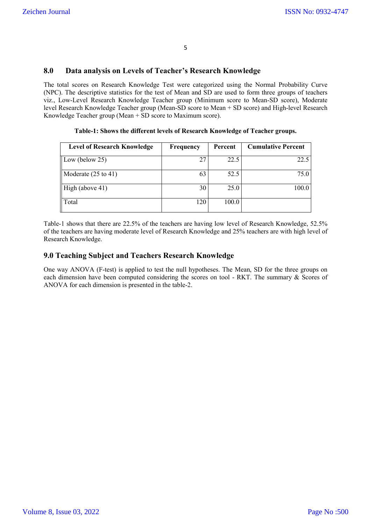## **8.0 Data analysis on Levels of Teacher's Research Knowledge**

The total scores on Research Knowledge Test were categorized using the Normal Probability Curve (NPC). The descriptive statistics for the test of Mean and SD are used to form three groups of teachers viz., Low-Level Research Knowledge Teacher group (Minimum score to Mean-SD score), Moderate level Research Knowledge Teacher group (Mean-SD score to Mean + SD score) and High-level Research Knowledge Teacher group (Mean + SD score to Maximum score).

| Table-1: Shows the different levels of Research Knowledge of Teacher groups. |  |  |  |  |
|------------------------------------------------------------------------------|--|--|--|--|
|------------------------------------------------------------------------------|--|--|--|--|

| <b>Level of Research Knowledge</b> | Frequency | Percent | <b>Cumulative Percent</b> |
|------------------------------------|-----------|---------|---------------------------|
| Low (below $25$ )                  | 27        | 22.5    | 22.5                      |
| Moderate $(25 \text{ to } 41)$     | 63        | 52.5    | 75.0                      |
| High (above 41)                    | 30        | 25.0    | 100.0                     |
| Total                              | 120       | 100.0   |                           |

Table-1 shows that there are 22.5% of the teachers are having low level of Research Knowledge, 52.5% of the teachers are having moderate level of Research Knowledge and 25% teachers are with high level of Research Knowledge.

### **9.0 Teaching Subject and Teachers Research Knowledge**

One way ANOVA (F-test) is applied to test the null hypotheses. The Mean, SD for the three groups on each dimension have been computed considering the scores on tool - RKT. The summary & Scores of ANOVA for each dimension is presented in the table-2.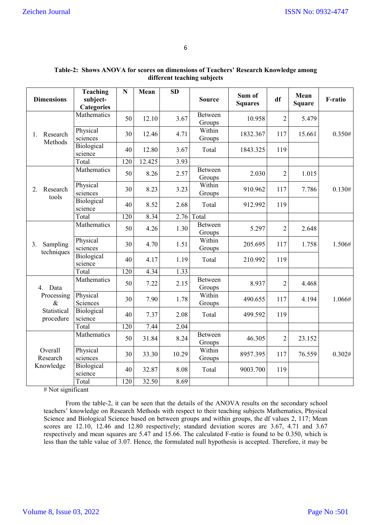| <b>Dimensions</b>                                         | <b>Teaching</b><br>subject-<br><b>Categories</b> | $\mathbf N$ | Mean   | <b>SD</b> | <b>Source</b>            | Sum of<br><b>Squares</b> | df             | Mean<br><b>Square</b> | F-ratio |
|-----------------------------------------------------------|--------------------------------------------------|-------------|--------|-----------|--------------------------|--------------------------|----------------|-----------------------|---------|
| Research<br>1.<br>Methods                                 | Mathematics                                      | 50          | 12.10  | 3.67      | Between<br>Groups        | 10.958                   | $\overline{2}$ | 5.479                 |         |
|                                                           | Physical<br>sciences                             | 30          | 12.46  | 4.71      | Within<br>Groups         | 1832.367                 | 117            | 15.661                | 0.350#  |
|                                                           | Biological<br>science                            | 40          | 12.80  | 3.67      | Total                    | 1843.325                 | 119            |                       |         |
|                                                           | Total                                            | 120         | 12.425 | 3.93      |                          |                          |                |                       |         |
|                                                           | Mathematics                                      | 50          | 8.26   | 2.57      | Between<br>Groups        | 2.030                    | $\overline{2}$ | 1.015                 |         |
| Research<br>2.<br>tools                                   | Physical<br>sciences                             | 30          | 8.23   | 3.23      | Within<br>Groups         | 910.962                  | 117            | 7.786                 | 0.130#  |
|                                                           | Biological<br>science                            | 40          | 8.52   | 2.68      | Total                    | 912.992                  | 119            |                       |         |
|                                                           | Total                                            | 120         | 8.34   | 2.76      | Total                    |                          |                |                       |         |
| 3.<br>Sampling<br>techniques                              | Mathematics                                      | 50          | 4.26   | 1.30      | Between<br>Groups        | 5.297                    | $\overline{2}$ | 2.648                 |         |
|                                                           | Physical<br>sciences                             | 30          | 4.70   | 1.51      | Within<br>Groups         | 205.695                  | 117            | 1.758                 | 1.506#  |
|                                                           | Biological<br>science                            | 40          | 4.17   | 1.19      | Total                    | 210.992                  | 119            |                       |         |
|                                                           | Total                                            | 120         | 4.34   | 1.33      |                          |                          |                |                       |         |
| 4. Data<br>Processing<br>$\&$<br>Statistical<br>procedure | Mathematics                                      | 50          | 7.22   | 2.15      | Between<br>Groups        | 8.937                    | $\overline{2}$ | 4.468                 |         |
|                                                           | Physical<br>Sciences                             | 30          | 7.90   | 1.78      | Within<br>Groups         | 490.655                  | 117            | 4.194                 | 1.066#  |
|                                                           | Biological<br>science                            | 40          | 7.37   | 2.08      | Total                    | 499.592                  | 119            |                       |         |
|                                                           | Total                                            | 120         | 7.44   | 2.04      |                          |                          |                |                       |         |
| Overall<br>Research<br>Knowledge                          | Mathematics                                      | 50          | 31.84  | 8.24      | <b>Between</b><br>Groups | 46.305                   | $\overline{2}$ | 23.152                |         |
|                                                           | Physical<br>sciences                             | 30          | 33.30  | 10.29     | Within<br>Groups         | 8957.395                 | 117            | 76.559                | 0.302#  |
|                                                           | Biological<br>science                            | 40          | 32.87  | 8.08      | Total                    | 9003.700                 | 119            |                       |         |
|                                                           | Total                                            | 120         | 32.50  | 8.69      |                          |                          |                |                       |         |

| Table-2: Shows ANOVA for scores on dimensions of Teachers' Research Knowledge among |  |
|-------------------------------------------------------------------------------------|--|
| different teaching subjects                                                         |  |

# Not significant

From the table-2, it can be seen that the details of the ANOVA results on the secondary school teachers' knowledge on Research Methods with respect to their teaching subjects Mathematics, Physical Science and Biological Science based on between groups and within groups, the df values 2, 117; Mean scores are 12.10, 12.46 and 12.80 respectively; standard deviation scores are 3.67, 4.71 and 3.67 respectively and mean squares are 5.47 and 15.66. The calculated F-ratio is found to be 0.350, which is less than the table value of 3.07. Hence, the formulated null hypothesis is accepted. Therefore, it may be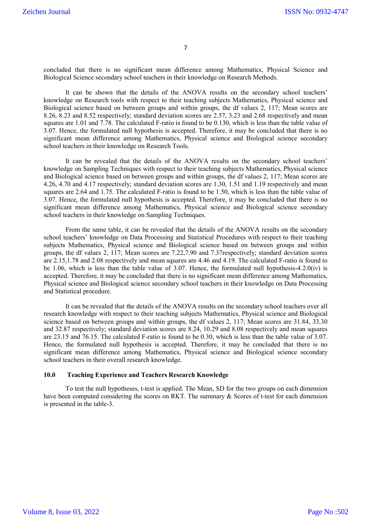concluded that there is no significant mean difference among Mathematics, Physical Science and Biological Science secondary school teachers in their knowledge on Research Methods.

It can be shown that the details of the ANOVA results on the secondary school teachers' knowledge on Research tools with respect to their teaching subjects Mathematics, Physical science and Biological science based on between groups and within groups, the df values 2, 117; Mean scores are 8.26, 8.23 and 8.52 respectively; standard deviation scores are 2.57, 3.23 and 2.68 respectively and mean squares are 1.01 and 7.78. The calculated F-ratio is found to be 0.130, which is less than the table value of 3.07. Hence, the formulated null hypothesis is accepted. Therefore, it may be concluded that there is no significant mean difference among Mathematics, Physical science and Biological science secondary school teachers in their knowledge on Research Tools.

It can be revealed that the details of the ANOVA results on the secondary school teachers' knowledge on Sampling Techniques with respect to their teaching subjects Mathematics, Physical science and Biological science based on between groups and within groups, the df values 2, 117; Mean scores are 4.26, 4.70 and 4.17 respectively; standard deviation scores are 1.30, 1.51 and 1.19 respectively and mean squares are 2.64 and 1.75. The calculated F-ratio is found to be 1.50, which is less than the table value of 3.07. Hence, the formulated null hypothesis is accepted. Therefore, it may be concluded that there is no significant mean difference among Mathematics, Physical science and Biological science secondary school teachers in their knowledge on Sampling Techniques.

From the same table, it can be revealed that the details of the ANOVA results on the secondary school teachers' knowledge on Data Processing and Statistical Procedures with respect to their teaching subjects Mathematics, Physical science and Biological science based on between groups and within groups, the df values 2, 117; Mean scores are 7.22,7.90 and 7.37respectively; standard deviation scores are 2.15,1.78 and 2.08 respectively and mean squares are 4.46 and 4.19. The calculated F-ratio is found to be 1.06, which is less than the table value of 3.07. Hence, the formulated null hypothesis-4.2.0(iv) is accepted. Therefore, it may be concluded that there is no significant mean difference among Mathematics, Physical science and Biological science secondary school teachers in their knowledge on Data Processing and Statistical procedure.

It can be revealed that the details of the ANOVA results on the secondary school teachers over all research knowledge with respect to their teaching subjects Mathematics, Physical science and Biological science based on between groups and within groups, the df values 2, 117; Mean scores are 31.84, 33.30 and 32.87 respectively; standard deviation scores are 8.24, 10.29 and 8.08 respectively and mean squares are 23.15 and 76.15. The calculated F-ratio is found to be 0.30, which is less than the table value of 3.07. Hence, the formulated null hypothesis is accepted. Therefore, it may be concluded that there is no significant mean difference among Mathematics, Physical science and Biological science secondary school teachers in their overall research knowledge.

#### **10.0 Teaching Experience and Teachers Research Knowledge**

To test the null hypotheses, t-test is applied. The Mean, SD for the two groups on each dimension have been computed considering the scores on RKT. The summary & Scores of t-test for each dimension is presented in the table-3.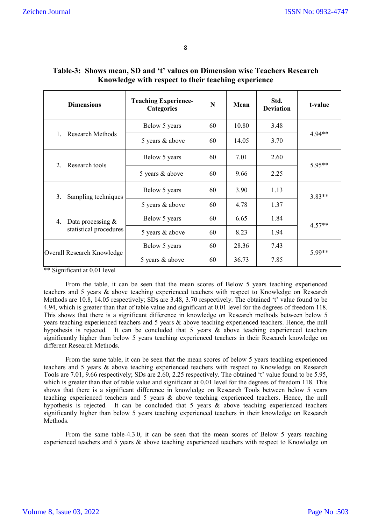| <b>Dimensions</b>                                                                                                                                                                                                                                                                                                              | <b>Teaching Experience-</b><br><b>Categories</b> | N          | Mean  | Std.<br><b>Deviation</b> | t-value  |  |
|--------------------------------------------------------------------------------------------------------------------------------------------------------------------------------------------------------------------------------------------------------------------------------------------------------------------------------|--------------------------------------------------|------------|-------|--------------------------|----------|--|
| <b>Research Methods</b><br>1.                                                                                                                                                                                                                                                                                                  | Below 5 years                                    | 60         | 10.80 | 3.48                     | 4.94**   |  |
|                                                                                                                                                                                                                                                                                                                                | 5 years & above                                  | 60         | 14.05 | 3.70                     |          |  |
| Research tools<br>2.                                                                                                                                                                                                                                                                                                           | Below 5 years                                    | 60         | 7.01  | 2.60                     | 5.95**   |  |
|                                                                                                                                                                                                                                                                                                                                | 5 years & above                                  | 60         | 9.66  | 2.25                     |          |  |
| 3.<br>Sampling techniques                                                                                                                                                                                                                                                                                                      | Below 5 years                                    | 60<br>3.90 |       | 1.13                     | $3.83**$ |  |
|                                                                                                                                                                                                                                                                                                                                | 5 years & above                                  | 60         | 4.78  | 1.37                     |          |  |
| Data processing $&$<br>4.<br>statistical procedures                                                                                                                                                                                                                                                                            | Below 5 years                                    | 60         | 6.65  | 1.84                     | $4.57**$ |  |
|                                                                                                                                                                                                                                                                                                                                | 5 years & above                                  | 60         | 8.23  | 1.94                     |          |  |
| Overall Research Knowledge                                                                                                                                                                                                                                                                                                     | Below 5 years                                    | 60         | 28.36 | 7.43                     | 5.99**   |  |
|                                                                                                                                                                                                                                                                                                                                | 5 years & above                                  | 60         | 36.73 | 7.85                     |          |  |
| $\cdots$<br>$\sqrt{2}$ $\sqrt{2}$ $\sqrt{2}$ $\sqrt{2}$ $\sqrt{2}$ $\sqrt{2}$ $\sqrt{2}$ $\sqrt{2}$ $\sqrt{2}$ $\sqrt{2}$ $\sqrt{2}$ $\sqrt{2}$ $\sqrt{2}$ $\sqrt{2}$ $\sqrt{2}$ $\sqrt{2}$ $\sqrt{2}$ $\sqrt{2}$ $\sqrt{2}$ $\sqrt{2}$ $\sqrt{2}$ $\sqrt{2}$ $\sqrt{2}$ $\sqrt{2}$ $\sqrt{2}$ $\sqrt{2}$ $\sqrt{2}$ $\sqrt{2$ |                                                  |            |       |                          |          |  |

# **Table-3: Shows mean, SD and 't' values on Dimension wise Teachers Research Knowledge with respect to their teaching experience**

\*\* Significant at 0.01 level

From the table, it can be seen that the mean scores of Below 5 years teaching experienced teachers and 5 years & above teaching experienced teachers with respect to Knowledge on Research Methods are 10.8, 14.05 respectively; SDs are 3.48, 3.70 respectively. The obtained 't' value found to be 4.94, which is greater than that of table value and significant at 0.01 level for the degrees of freedom 118. This shows that there is a significant difference in knowledge on Research methods between below 5 years teaching experienced teachers and 5 years & above teaching experienced teachers. Hence, the null hypothesis is rejected. It can be concluded that 5 years & above teaching experienced teachers significantly higher than below 5 years teaching experienced teachers in their Research knowledge on different Research Methods.

From the same table, it can be seen that the mean scores of below 5 years teaching experienced teachers and 5 years & above teaching experienced teachers with respect to Knowledge on Research Tools are 7.01, 9.66 respectively; SDs are 2.60, 2.25 respectively. The obtained 't' value found to be 5.95, which is greater than that of table value and significant at 0.01 level for the degrees of freedom 118. This shows that there is a significant difference in knowledge on Research Tools between below 5 years teaching experienced teachers and 5 years & above teaching experienced teachers. Hence, the null hypothesis is rejected. It can be concluded that 5 years & above teaching experienced teachers significantly higher than below 5 years teaching experienced teachers in their knowledge on Research Methods.

From the same table-4.3.0, it can be seen that the mean scores of Below 5 years teaching experienced teachers and 5 years & above teaching experienced teachers with respect to Knowledge on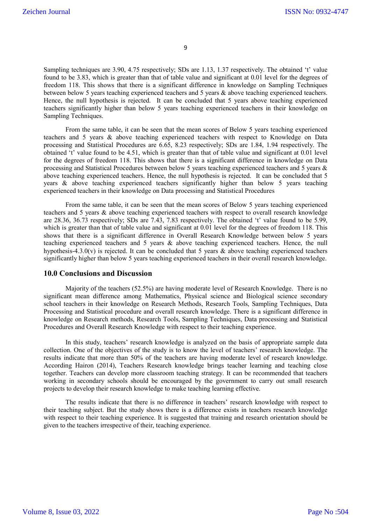Sampling techniques are 3.90, 4.75 respectively; SDs are 1.13, 1.37 respectively. The obtained 't' value found to be 3.83, which is greater than that of table value and significant at 0.01 level for the degrees of freedom 118. This shows that there is a significant difference in knowledge on Sampling Techniques between below 5 years teaching experienced teachers and 5 years & above teaching experienced teachers. Hence, the null hypothesis is rejected. It can be concluded that 5 years above teaching experienced teachers significantly higher than below 5 years teaching experienced teachers in their knowledge on Sampling Techniques.

From the same table, it can be seen that the mean scores of Below 5 years teaching experienced teachers and 5 years & above teaching experienced teachers with respect to Knowledge on Data processing and Statistical Procedures are 6.65, 8.23 respectively; SDs are 1.84, 1.94 respectively. The obtained 't' value found to be 4.51, which is greater than that of table value and significant at 0.01 level for the degrees of freedom 118. This shows that there is a significant difference in knowledge on Data processing and Statistical Procedures between below 5 years teaching experienced teachers and 5 years & above teaching experienced teachers. Hence, the null hypothesis is rejected. It can be concluded that 5 years & above teaching experienced teachers significantly higher than below 5 years teaching experienced teachers in their knowledge on Data processing and Statistical Procedures

From the same table, it can be seen that the mean scores of Below 5 years teaching experienced teachers and 5 years & above teaching experienced teachers with respect to overall research knowledge are 28.36, 36.73 respectively; SDs are 7.43, 7.83 respectively. The obtained 't' value found to be 5.99, which is greater than that of table value and significant at 0.01 level for the degrees of freedom 118. This shows that there is a significant difference in Overall Research Knowledge between below 5 years teaching experienced teachers and 5 years & above teaching experienced teachers. Hence, the null hypothesis-4.3.0(v) is rejected. It can be concluded that 5 years  $\&$  above teaching experienced teachers significantly higher than below 5 years teaching experienced teachers in their overall research knowledge.

#### **10.0 Conclusions and Discussion**

Majority of the teachers (52.5%) are having moderate level of Research Knowledge. There is no significant mean difference among Mathematics, Physical science and Biological science secondary school teachers in their knowledge on Research Methods, Research Tools, Sampling Techniques, Data Processing and Statistical procedure and overall research knowledge. There is a significant difference in knowledge on Research methods, Research Tools, Sampling Techniques, Data processing and Statistical Procedures and Overall Research Knowledge with respect to their teaching experience.

In this study, teachers' research knowledge is analyzed on the basis of appropriate sample data collection. One of the objectives of the study is to know the level of teachers' research knowledge. The results indicate that more than 50% of the teachers are having moderate level of research knowledge. According Hairon (2014), Teachers Research knowledge brings teacher learning and teaching close together. Teachers can develop more classroom teaching strategy. It can be recommended that teachers working in secondary schools should be encouraged by the government to carry out small research projects to develop their research knowledge to make teaching learning effective.

The results indicate that there is no difference in teachers' research knowledge with respect to their teaching subject. But the study shows there is a difference exists in teachers research knowledge with respect to their teaching experience. It is suggested that training and research orientation should be given to the teachers irrespective of their, teaching experience.